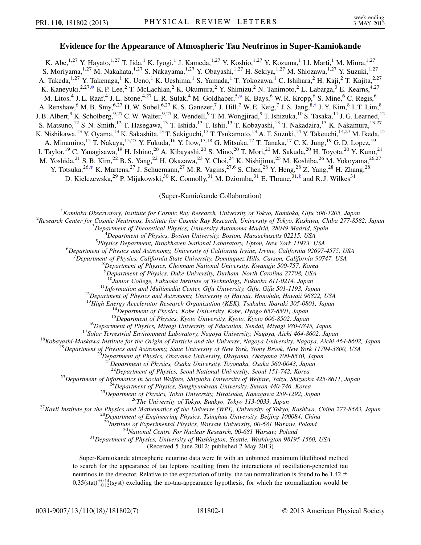## Evidence for the Appearance of Atmospheric Tau Neutrinos in Super-Kamiokande

<span id="page-0-1"></span>K. Abe,<sup>1,27</sup> Y. Hayato,<sup>1,27</sup> T. Iida,<sup>1</sup> K. Iyogi,<sup>1</sup> J. Kameda,<sup>1,27</sup> Y. Koshio,<sup>1,27</sup> Y. Kozuma,<sup>1</sup> Ll. Marti,<sup>1</sup> M. Miura,<sup>1,27</sup> S. Moriyama,<sup>1,27</sup> M. Nakahata,<sup>1,27</sup> S. Nakayama,<sup>1,27</sup> Y. Obayashi,<sup>1,27</sup> H. Sekiya,<sup>1,27</sup> M. Shiozawa,<sup>1,27</sup> Y. Suzuki,<sup>1,27</sup> A. Takeda,<sup>1,27</sup> Y. Takenaga,<sup>1</sup> K. Ueno,<sup>1</sup> K. Ueshima,<sup>1</sup> S. Yamada,<sup>1</sup> T. Yokozawa,<sup>1</sup> C. Ishihara,<sup>2</sup> H. Kaji,<sup>2</sup> T. Kajita,<sup>2,27</sup> K. Kaneyuki,<sup>2,27[,\\*](#page-5-0)</sup> K. P. Lee,<sup>2</sup> T. McLachlan,<sup>2</sup> K. Okumura,<sup>2</sup> Y. Shimizu,<sup>2</sup> N. Tanimoto,<sup>2</sup> L. Labarga,<sup>3</sup> E. Kearns,<sup>4,27</sup> M. Litos,<sup>4</sup> J. L. Raaf,<sup>4</sup> J. L. Stone,<sup>4,27</sup> L. R. Sulak,<sup>4</sup> M. Goldhaber,<sup>5,[\\*](#page-5-0)</sup> K. Bays,<sup>6</sup> W. R. Kropp,<sup>6</sup> S. Mine,<sup>6</sup> C. Regis,<sup>6</sup> A. Renshaw,  $6$  M. B. Smy,  $6.27$  H. W. Sobel,  $6.27$  K. S. Ganezer,  $7$  J. Hill,  $7$  W. E. Keig,  $7$  J. S. Jang,  $8.$ [†](#page-5-1) J. Y. Kim,  $8$  I. T. Lim,  $8$ J. B. Albert,  $9K$ . Scholberg,  $9.27$  C. W. Walter,  $9.27$  R. Wendell,  $9T$ . M. Wongjirad,  $9T$ . Ishizuka,  $^{10}$  S. Tasaka,  $^{11}$  J. G. Learned,  $^{12}$ S. Matsuno,<sup>12</sup> S. N. Smith,<sup>12</sup> T. Hasegawa,<sup>13</sup> T. Ishida,<sup>13</sup> T. Ishii,<sup>13</sup> T. Kobayashi,<sup>13</sup> T. Nakadaira,<sup>13</sup> K. Nakamura,<sup>13,27</sup> K. Nishikawa,<sup>13</sup> Y. Oyama,<sup>13</sup> K. Sakashita,<sup>13</sup> T. Sekiguchi,<sup>13</sup> T. Tsukamoto,<sup>13</sup> A. T. Suzuki,<sup>14</sup> Y. Takeuchi,<sup>14,27</sup> M. Ikeda,<sup>15</sup> A. Minamino,<sup>15</sup> T. Nakaya,<sup>15,27</sup> Y. Fukuda,<sup>16</sup> Y. Itow,<sup>17,18</sup> G. Mitsuka,<sup>17</sup> T. Tanaka,<sup>17</sup> C. K. Jung,<sup>19</sup> G. D. Lopez,<sup>19</sup> I. Taylor,<sup>19</sup> C. Yanagisawa,<sup>19</sup> H. Ishino,<sup>20</sup> A. Kibayashi,<sup>20</sup> S. Mino,<sup>20</sup> T. Mori,<sup>20</sup> M. Sakuda,<sup>20</sup> H. Toyota,<sup>20</sup> Y. Kuno,<sup>21</sup> M. Yoshida,<sup>21</sup> S. B. Kim,<sup>22</sup> B. S. Yang,<sup>22</sup> H. Okazawa,<sup>23</sup> Y. Choi,<sup>24</sup> K. Nishijima,<sup>25</sup> M. Koshiba,<sup>26</sup> M. Yokoyama,<sup>26,27</sup> Y. Totsuka,  $26, *$  $26, *$  K. Martens,  $27$  J. Schuemann,  $27$  M. R. Vagins,  $27,6$  S. Chen,  $28$  Y. Heng,  $28$  Z. Yang,  $28$  H. Zhang,  $28$ D. Kielczewska,<sup>29</sup> P. Mijakowski,<sup>30</sup> K. Connolly,<sup>31</sup> M. Dziomba,<sup>31</sup> E. Thrane,<sup>31[,‡](#page-5-2)</sup> and R. J. Wilkes<sup>31</sup>

(Super-Kamiokande Collaboration)

<span id="page-0-2"></span><span id="page-0-0"></span><sup>1</sup> Kamioka Observatory, Institute for Cosmic Ray Research, University of Tokyo, Kamioka, Gifu 506-1205, Japan <sup>2</sup> Research Center for Cosmic Nautrines, Institute for Cosmic Ray Research University of Tokyo, Kashiwa, Chiha

<sup>2</sup>Research Center for Cosmic Neutrinos, Institute for Cosmic Ray Research, University of Tokyo, Kashiwa, Chiba 277-8582, Japan

 $3$ Department of Theoretical Physics, University Autonoma Madrid, 28049 Madrid, Spain

 ${}^{4}$ Department of Physics, Boston University, Boston, Massachusetts 02215, USA

<sup>5</sup>Physics Department, Brookhaven National Laboratory, Upton, New York 11973, USA

 ${}^{6}$ Department of Physics and Astronomy, University of California Irvine, Irvine, California 92697-4575, USA

 $D^{\dagger}$ Department of Physics, California State University, Dominguez Hills, Carson, California 90747, USA

 $8$ Department of Physics, Chonnam National University, Kwangju 500-757, Korea

<sup>9</sup>Department of Physics, Duke University, Durham, North Carolina 27708, USA

<sup>10</sup>Junior College, Fukuoka Institute of Technology, Fukuoka 811-0214, Japan<br><sup>11</sup>Information and Multimedia Center, Gifu University, Gifu, Gifu 501-1193, Japan<br><sup>12</sup>Department of Physics and Astronomy, University of Hawaii

<sup>13</sup>High Energy Accelerator Research Organization (KEK), Tsukuba, Ibaraki 305-0801, Japan<br><sup>14</sup>Department of Physics, Kobe University, Kobe, Hyogo 657-8501, Japan<br><sup>15</sup>Department of Physics, Kyoto University, Kyoto, Kyoto 6

<sup>21</sup>Department of Physics, Osaka University, Toyonaka, Osaka 560-0043, Japan<br><sup>22</sup>Department of Physics, Seoul National University, Seoul 151-742, Korea

<sup>23</sup>Department of Informatics in Social Welfare, Shizuoka University of Welfare, Yaizu, Shizuoka 425-8611, Japan<br><sup>24</sup>Department of Physics, Sungkyunkwan University, Suwon 440-746, Korea<br><sup>25</sup>Department of Physics, Tokai Un

<sup>30</sup>National Centre For Nuclear Research, 00-681 Warsaw, Poland<br><sup>31</sup>Department of Physics, University of Washington, Seattle, Washington 98195-1560, USA

(Received 5 June 2012; published 2 May 2013)

Super-Kamiokande atmospheric neutrino data were fit with an unbinned maximum likelihood method to search for the appearance of tau leptons resulting from the interactions of oscillation-generated tau neutrinos in the detector. Relative to the expectation of unity, the tau normalization is found to be 1.42  $\pm$  $0.35(stat)^{+0.14}_{-0.12}$ (syst) excluding the no-tau-appearance hypothesis, for which the normalization would be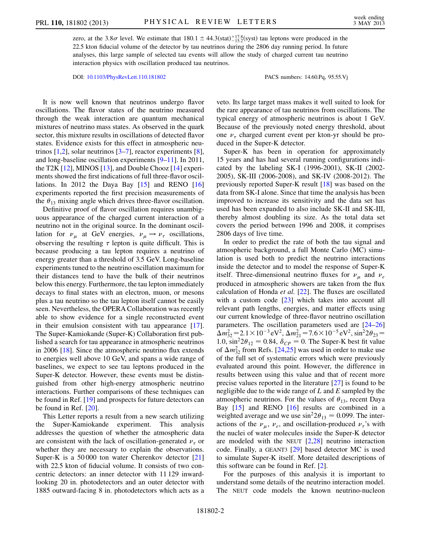zero, at the 3.8 $\sigma$  level. We estimate that 180.1  $\pm$  44.3(stat)<sup> $+$ 17.8</sup>(syst) tau leptons were produced in the 22.5 kton fiducial volume of the detector by tau neutrinos during the 2806 day running period. In future analyses, this large sample of selected tau events will allow the study of charged current tau neutrino interaction physics with oscillation produced tau neutrinos.

DOI: [10.1103/PhysRevLett.110.181802](http://dx.doi.org/10.1103/PhysRevLett.110.181802) PACS numbers: 14.60.Pq, 95.55.Vj

It is now well known that neutrinos undergo flavor oscillations. The flavor states of the neutrino measured through the weak interaction are quantum mechanical mixtures of neutrino mass states. As observed in the quark sector, this mixture results in oscillations of detected flavor states. Evidence exists for this effect in atmospheric neutrinos  $[1,2]$  $[1,2]$  $[1,2]$  $[1,2]$ , solar neutrinos  $[3-7]$  $[3-7]$ , reactor experiments  $[8]$  $[8]$ , and long-baseline oscillation experiments [[9–](#page-5-8)[11](#page-5-9)]. In 2011, the T2K  $[12]$  $[12]$  $[12]$ , MINOS  $[13]$  $[13]$ , and Double Chooz  $[14]$  experiments showed the first indications of full three-flavor oscillations. In 2012 the Daya Bay [[15](#page-5-13)] and RENO [\[16\]](#page-5-14) experiments reported the first precision measurements of the  $\theta_{13}$  mixing angle which drives three-flavor oscillation.

Definitive proof of flavor oscillation requires unambiguous appearance of the charged current interaction of a neutrino not in the original source. In the dominant oscillation for  $\nu_{\mu}$  at GeV energies,  $\nu_{\mu} \rightarrow \nu_{\tau}$  oscillations, observing the resulting  $\tau$  lepton is quite difficult. This is because producing a tau lepton requires a neutrino of energy greater than a threshold of 3.5 GeV. Long-baseline experiments tuned to the neutrino oscillation maximum for their distances tend to have the bulk of their neutrinos below this energy. Furthermore, the tau lepton immediately decays to final states with an electron, muon, or mesons plus a tau neutrino so the tau lepton itself cannot be easily seen. Nevertheless, the OPERA Collaboration was recently able to show evidence for a single reconstructed event in their emulsion consistent with tau appearance [\[17\]](#page-5-15). The Super-Kamiokande (Super-K) Collaboration first published a search for tau appearance in atmospheric neutrinos in 2006 [[18](#page-5-16)]. Since the atmospheric neutrino flux extends to energies well above 10 GeV, and spans a wide range of baselines, we expect to see tau leptons produced in the Super-K detector. However, these events must be distinguished from other high-energy atmospheric neutrino interactions. Further comparisons of these techniques can be found in Ref. [[19](#page-5-17)] and prospects for future detectors can be found in Ref. [[20](#page-5-18)].

This Letter reports a result from a new search utilizing the Super-Kamiokande experiment. This analysis addresses the question of whether the atmospheric data are consistent with the lack of oscillation-generated  $\nu_{\tau}$  or whether they are necessary to explain the observations. Super-K is a 50 000 ton water Cherenkov detector [\[21\]](#page-5-19) with 22.5 kton of fiducial volume. It consists of two concentric detectors: an inner detector with 11 129 inwardlooking 20 in. photodetectors and an outer detector with 1885 outward-facing 8 in. photodetectors which acts as a

veto. Its large target mass makes it well suited to look for the rare appearance of tau neutrinos from oscillations. The typical energy of atmospheric neutrinos is about 1 GeV. Because of the previously noted energy threshold, about one  $\nu_{\tau}$  charged current event per kton-yr should be produced in the Super-K detector.

Super-K has been in operation for approximately 15 years and has had several running configurations indicated by the labeling SK-I (1996-2001), SK-II (2002- 2005), SK-III (2006-2008), and SK-IV (2008-2012). The previously reported Super-K result [\[18\]](#page-5-16) was based on the data from SK-I alone. Since that time the analysis has been improved to increase its sensitivity and the data set has used has been expanded to also include SK-II and SK-III, thereby almost doubling its size. As the total data set covers the period between 1996 and 2008, it comprises 2806 days of live time.

In order to predict the rate of both the tau signal and atmospheric background, a full Monte Carlo (MC) simulation is used both to predict the neutrino interactions inside the detector and to model the response of Super-K itself. Three-dimensional neutrino fluxes for  $v_{\mu}$  and  $v_{e}$ produced in atmospheric showers are taken from the flux calculation of Honda et al. [\[22\]](#page-5-20). The fluxes are oscillated with a custom code [[23](#page-5-21)] which takes into account all relevant path lengths, energies, and matter effects using our current knowledge of three-flavor neutrino oscillation parameters. The oscillation parameters used are [\[24](#page-5-22)[–26\]](#page-5-23)  $\Delta m_{32}^2 = 2.1 \times 10^{-3} \text{ eV}^2$ ,  $\Delta m_{21}^2 = 7.6 \times 10^{-5} \text{ eV}^2$ ,  $\sin^2 2\theta_{23} = 1.0$ ,  $\sin^2 2\theta_{12} = 0.84$ ,  $\delta_{CP} = 0$ . The Super-K best fit value of  $\Delta m_{32}^2$  from Refs. [[24,](#page-5-22)[25](#page-5-24)] was used in order to make use of the full set of systematic errors which were previously evaluated around this point. However, the difference in results between using this value and that of recent more precise values reported in the literature [\[27\]](#page-5-25) is found to be negligible due to the wide range of  $L$  and  $E$  sampled by the atmospheric neutrinos. For the values of  $\theta_{13}$ , recent Daya Bay [\[15\]](#page-5-13) and RENO [[16](#page-5-14)] results are combined in a weighted average and we use  $\sin^2 2\theta_{13} = 0.099$ . The interactions of the  $v_{\mu}$ ,  $v_{e}$ , and oscillation-produced  $v_{\tau}$ 's with the nuclei of water molecules inside the Super-K detector are modeled with the NEUT [[2,](#page-5-4)[28](#page-5-26)] neutrino interaction code. Finally, a GEANT3 [[29](#page-5-27)] based detector MC is used to simulate Super-K itself. More detailed descriptions of this software can be found in Ref. [[2\]](#page-5-4).

For the purposes of this analysis it is important to understand some details of the neutrino interaction model. The NEUT code models the known neutrino-nucleon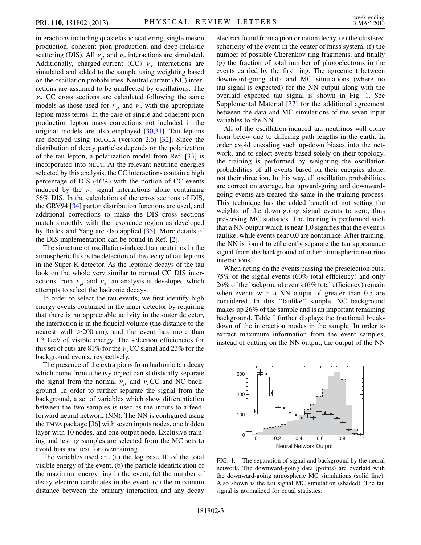interactions including quasielastic scattering, single meson production, coherent pion production, and deep-inelastic scattering (DIS). All  $\nu_{\mu}$  and  $\nu_{e}$  interactions are simulated. Additionally, charged-current (CC)  $\nu_{\tau}$  interactions are simulated and added to the sample using weighting based on the oscillation probabilities. Neutral current (NC) interactions are assumed to be unaffected by oscillations. The  $\nu_{\tau}$  CC cross sections are calculated following the same models as those used for  $\nu_{\mu}$  and  $\nu_{e}$  with the appropriate lepton mass terms. In the case of single and coherent pion production lepton mass corrections not included in the original models are also employed [\[30](#page-6-0)[,31\]](#page-6-1). Tau leptons are decayed using TAUOLA (version 2.6) [\[32\]](#page-6-2). Since the distribution of decay particles depends on the polarization of the tau lepton, a polarization model from Ref. [\[33\]](#page-6-3) is incorporated into NEUT. At the relevant neutrino energies selected by this analysis, the CC interactions contain a high percentage of DIS (46%) with the portion of CC events induced by the  $\nu_{\tau}$  signal interactions alone containing 56% DIS. In the calculation of the cross sections of DIS, the GRV94 [[34](#page-6-4)] parton distribution functions are used, and additional corrections to make the DIS cross sections match smoothly with the resonance region as developed by Bodek and Yang are also applied [\[35\]](#page-6-5). More details of the DIS implementation can be found in Ref. [\[2](#page-5-4)].

The signature of oscillation-induced tau neutrinos in the atmospheric flux is the detection of the decay of tau leptons in the Super-K detector. As the leptonic decays of the tau look on the whole very similar to normal CC DIS interactions from  $\nu_{\mu}$  and  $\nu_{e}$ , an analysis is developed which attempts to select the hadronic decays.

In order to select the tau events, we first identify high energy events contained in the inner detector by requiring that there is no appreciable activity in the outer detector, the interaction is in the fiducial volume (the distance to the nearest wall  $>200$  cm), and the event has more than 1.3 GeV of visible energy. The selection efficiencies for this set of cuts are 81% for the  $\nu<sub>\tau</sub>CC$  signal and 23% for the background events, respectively.

The presence of the extra pions from hadronic tau decay which come from a heavy object can statistically separate the signal from the normal  $\nu_{\mu}$  and  $\nu_{e}$ CC and NC background. In order to further separate the signal from the background, a set of variables which show differentiation between the two samples is used as the inputs to a feedforward neural network (NN). The NN is configured using the TMVA package [\[36\]](#page-6-6) with seven inputs nodes, one hidden layer with 10 nodes, and one output node. Exclusive training and testing samples are selected from the MC sets to avoid bias and test for overtraining.

The variables used are (a) the log base 10 of the total visible energy of the event, (b) the particle identification of the maximum energy ring in the event, (c) the number of decay electron candidates in the event, (d) the maximum distance between the primary interaction and any decay electron found from a pion or muon decay, (e) the clustered sphericity of the event in the center of mass system, (f) the number of possible Cherenkov ring fragments, and finally (g) the fraction of total number of photoelectrons in the events carried by the first ring. The agreement between downward-going data and MC simulations (where no tau signal is expected) for the NN output along with the overlaid expected tau signal is shown in Fig. [1](#page-2-0). See Supplemental Material [[37](#page-6-7)] for the additional agreement between the data and MC simulations of the seven input variables to the NN.

All of the oscillation-induced tau neutrinos will come from below due to differing path lengths in the earth. In order avoid encoding such up-down biases into the network, and to select events based solely on their topology, the training is performed by weighting the oscillation probabilities of all events based on their energies alone, not their direction. In this way, all oscillation probabilities are correct on average, but upward-going and downwardgoing events are treated the same in the training process. This technique has the added benefit of not setting the weights of the down-going signal events to zero, thus preserving MC statistics. The training is performed such that a NN output which is near 1.0 signifies that the event is taulike, while events near 0.0 are nontaulike. After training, the NN is found to efficiently separate the tau appearance signal from the background of other atmospheric neutrino interactions.

When acting on the events passing the preselection cuts, 75% of the signal events (60% total efficiency) and only 26% of the background events (6% total efficiency) remain when events with a NN output of greater than 0.5 are considered. In this ''taulike'' sample, NC background makes up 26% of the sample and is an important remaining background. Table [I](#page-3-0) further displays the fractional breakdown of the interaction modes in the sample. In order to extract maximum information from the event samples, instead of cutting on the NN output, the output of the NN

<span id="page-2-0"></span>

FIG. 1. The separation of signal and background by the neural network. The downward-going data (points) are overlaid with the downward-going atmospheric MC simulations (solid line). Also shown is the tau signal MC simulation (shaded). The tau signal is normalized for equal statistics.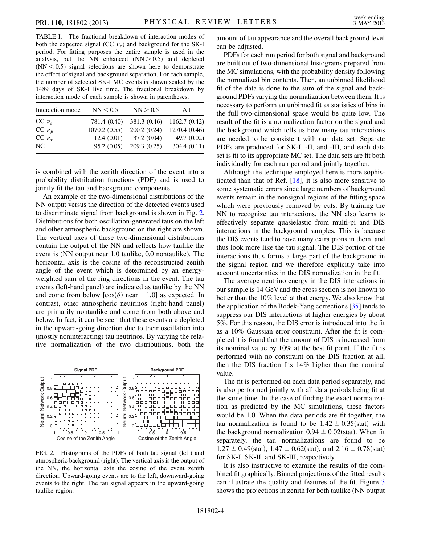<span id="page-3-0"></span>TABLE I. The fractional breakdown of interaction modes of both the expected signal (CC  $\nu_{\tau}$ ) and background for the SK-I period. For fitting purposes the entire sample is used in the analysis, but the NN enhanced  $(NN > 0.5)$  and depleted  $(NN < 0.5)$  signal selections are shown here to demonstrate the effect of signal and background separation. For each sample, the number of selected SK-I MC events is shown scaled by the 1489 days of SK-I live time. The fractional breakdown by interaction mode of each sample is shown in parentheses.

| Interaction mode | NN < 0.5     | NN > 0.5     | All           |
|------------------|--------------|--------------|---------------|
| $CC$ $\nu_e$     | 781.4 (0.40) | 381.3 (0.46) | 1162.7(0.42)  |
| CC $\nu_{\mu}$   | 1070.2(0.55) | 200.2(0.24)  | 1270.4 (0.46) |
| CC $\nu_{\tau}$  | 12.4(0.01)   | 37.2(0.04)   | 49.7 $(0.02)$ |
| NC.              | 95.2(0.05)   | 209.3(0.25)  | 304.4(0.11)   |

is combined with the zenith direction of the event into a probability distribution functions (PDF) and is used to jointly fit the tau and background components.

An example of the two-dimensional distributions of the NN output versus the direction of the detected events used to discriminate signal from background is shown in Fig. [2.](#page-3-1) Distributions for both oscillation-generated taus on the left and other atmospheric background on the right are shown. The vertical axes of these two-dimensional distributions contain the output of the NN and reflects how taulike the event is (NN output near 1.0 taulike, 0.0 nontaulike). The horizontal axis is the cosine of the reconstructed zenith angle of the event which is determined by an energyweighted sum of the ring directions in the event. The tau events (left-hand panel) are indicated as taulike by the NN and come from below  $[\cos(\theta)$  near  $-1.0]$  as expected. In contrast, other atmospheric neutrinos (right-hand panel) are primarily nontaulike and come from both above and below. In fact, it can be seen that these events are depleted in the upward-going direction due to their oscillation into (mostly noninteracting) tau neutrinos. By varying the relative normalization of the two distributions, both the

<span id="page-3-1"></span>

FIG. 2. Histograms of the PDFs of both tau signal (left) and atmospheric background (right). The vertical axis is the output of the NN, the horizontal axis the cosine of the event zenith direction. Upward-going events are to the left, downward-going events to the right. The tau signal appears in the upward-going taulike region.

amount of tau appearance and the overall background level can be adjusted.

PDFs for each run period for both signal and background are built out of two-dimensional histograms prepared from the MC simulations, with the probability density following the normalized bin contents. Then, an unbinned likelihood fit of the data is done to the sum of the signal and background PDFs varying the normalization between them. It is necessary to perform an unbinned fit as statistics of bins in the full two-dimensional space would be quite low. The result of the fit is a normalization factor on the signal and the background which tells us how many tau interactions are needed to be consistent with our data set. Separate PDFs are produced for SK-I, -II, and -III, and each data set is fit to its appropriate MC set. The data sets are fit both individually for each run period and jointly together.

Although the technique employed here is more sophisticated than that of Ref. [\[18\]](#page-5-16), it is also more sensitive to some systematic errors since large numbers of background events remain in the nonsignal regions of the fitting space which were previously removed by cuts. By training the NN to recognize tau interactions, the NN also learns to effectively separate quasielastic from multi-pi and DIS interactions in the background samples. This is because the DIS events tend to have many extra pions in them, and thus look more like the tau signal. The DIS portion of the interactions thus forms a large part of the background in the signal region and we therefore explicitly take into account uncertainties in the DIS normalization in the fit.

The average neutrino energy in the DIS interactions in our sample is 14 GeV and the cross section is not known to better than the 10% level at that energy. We also know that the application of the Bodek-Yang corrections [[35\]](#page-6-5) tends to suppress our DIS interactions at higher energies by about 5%. For this reason, the DIS error is introduced into the fit as a 10% Gaussian error constraint. After the fit is completed it is found that the amount of DIS is increased from its nominal value by 10% at the best fit point. If the fit is performed with no constraint on the DIS fraction at all, then the DIS fraction fits 14% higher than the nominal value.

The fit is performed on each data period separately, and is also performed jointly with all data periods being fit at the same time. In the case of finding the exact normalization as predicted by the MC simulations, these factors would be 1.0. When the data periods are fit together, the tau normalization is found to be  $1.42 \pm 0.35$  (stat) with the background normalization  $0.94 \pm 0.02$ (stat). When fit separately, the tau normalizations are found to be  $1.27 \pm 0.49$ (stat),  $1.47 \pm 0.62$ (stat), and  $2.16 \pm 0.78$ (stat) for SK-I, SK-II, and SK-III, respectively.

It is also instructive to examine the results of the combined fit graphically. Binned projections of the fitted results can illustrate the quality and features of the fit. Figure [3](#page-4-0) shows the projections in zenith for both taulike (NN output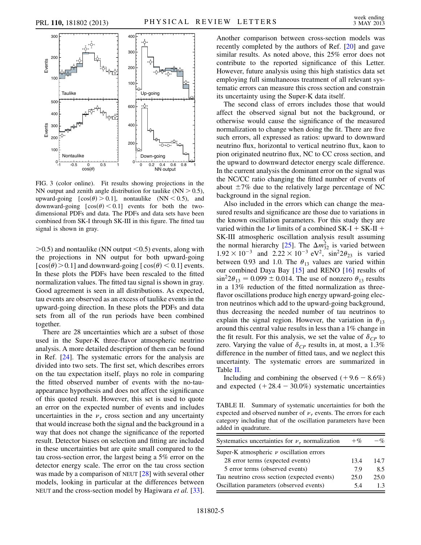<span id="page-4-0"></span>

FIG. 3 (color online). Fit results showing projections in the NN output and zenith angle distribution for taulike  $(NN > 0.5)$ , upward-going  $[\cos(\theta) > 0.1]$ , nontaulike (NN < 0.5), and downward-going  $[\cos(\theta) < 0.1]$  events for both the twodimensional PDFs and data. The PDFs and data sets have been combined from SK-I through SK-III in this figure. The fitted tau signal is shown in gray.

 $>0.5$ ) and nontaulike (NN output  $< 0.5$ ) events, along with the projections in NN output for both upward-going [ $cos(\theta)$  > 0.1] and downward-going [ $cos(\theta)$  < 0.1] events. In these plots the PDFs have been rescaled to the fitted normalization values. The fitted tau signal is shown in gray. Good agreement is seen in all distributions. As expected, tau events are observed as an excess of taulike events in the upward-going direction. In these plots the PDFs and data sets from all of the run periods have been combined together.

There are 28 uncertainties which are a subset of those used in the Super-K three-flavor atmospheric neutrino analysis. A more detailed description of them can be found in Ref. [[24](#page-5-22)]. The systematic errors for the analysis are divided into two sets. The first set, which describes errors on the tau expectation itself, plays no role in comparing the fitted observed number of events with the no-tauappearance hypothesis and does not affect the significance of this quoted result. However, this set is used to quote an error on the expected number of events and includes uncertainties in the  $\nu_{\tau}$  cross section and any uncertainty that would increase both the signal and the background in a way that does not change the significance of the reported result. Detector biases on selection and fitting are included in these uncertainties but are quite small compared to the tau cross-section error, the largest being a 5% error on the detector energy scale. The error on the tau cross section was made by a comparison of NEUT [\[28\]](#page-5-26) with several other models, looking in particular at the differences between NEUT and the cross-section model by Hagiwara *et al.* [[33\]](#page-6-3). Another comparison between cross-section models was recently completed by the authors of Ref. [[20](#page-5-18)] and gave similar results. As noted above, this 25% error does not contribute to the reported significance of this Letter. However, future analysis using this high statistics data set employing full simultaneous treatment of all relevant systematic errors can measure this cross section and constrain its uncertainty using the Super-K data itself.

The second class of errors includes those that would affect the observed signal but not the background, or otherwise would cause the significance of the measured normalization to change when doing the fit. There are five such errors, all expressed as ratios: upward to downward neutrino flux, horizontal to vertical neutrino flux, kaon to pion originated neutrino flux, NC to CC cross section, and the upward to downward detector energy scale difference. In the current analysis the dominant error on the signal was the NC/CC ratio changing the fitted number of events of about  $\pm 7\%$  due to the relatively large percentage of NC background in the signal region.

Also included in the errors which can change the measured results and significance are those due to variations in the known oscillation parameters. For this study they are varied within the  $1\sigma$  limits of a combined SK-I + SK-II + SK-III atmospheric oscillation analysis result assuming the normal hierarchy [[25](#page-5-24)]. The  $\Delta m_{32}^2$  is varied between  $1.92 \times 10^{-3}$  and  $2.22 \times 10^{-3}$  eV<sup>2</sup>, sin<sup>2</sup>2 $\theta_{23}$  is varied between 0.93 and 1.0. The  $\theta_{13}$  values are varied within our combined Daya Bay [[15](#page-5-13)] and RENO [[16](#page-5-14)] results of  $\sin^2 2\theta_{13} = 0.099 \pm 0.014$ . The use of nonzero  $\theta_{13}$  results in a 13% reduction of the fitted normalization as threeflavor oscillations produce high energy upward-going electron neutrinos which add to the upward-going background, thus decreasing the needed number of tau neutrinos to explain the signal region. However, the variation in  $\theta_{13}$ around this central value results in less than a 1% change in the fit result. For this analysis, we set the value of  $\delta_{CP}$  to zero. Varying the value of  $\delta_{CP}$  results in, at most, a 1.3% difference in the number of fitted taus, and we neglect this uncertainty. The systematic errors are summarized in Table [II](#page-4-1).

Including and combining the observed  $(+9.6 - 8.6%)$ and expected  $(+28.4 - 30.0\%)$  systematic uncertainties

<span id="page-4-1"></span>TABLE II. Summary of systematic uncertainties for both the expected and observed number of  $\nu_{\tau}$  events. The errors for each category including that of the oscillation parameters have been added in quadrature.

| Systematics uncertainties for $\nu_{\tau}$ normalization | $+$ % | $-\mathcal{O}'$ |
|----------------------------------------------------------|-------|-----------------|
| Super-K atmospheric $\nu$ oscillation errors             |       |                 |
| 28 error terms (expected events)                         | 13.4  | 14.7            |
| 5 error terms (observed events)                          | 7.9   | 8.5             |
| Tau neutrino cross section (expected events)             | 25.0  | 25.0            |
| Oscillation parameters (observed events)                 | 5.4   | 13              |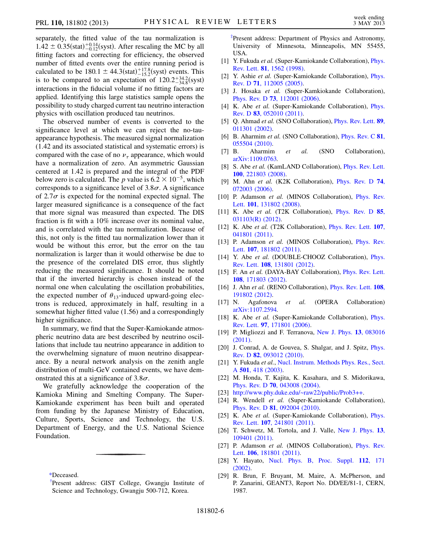separately, the fitted value of the tau normalization is  $1.42 \pm 0.35$ (stat) $^{+0.14}_{-0.12}$ (syst). After rescaling the MC by all fitting factors and correcting for efficiency, the observed number of fitted events over the entire running period is calculated to be  $180.1 \pm 44.3$  (stat) $^{+17.8}_{-15.2}$  (syst) events. This is to be compared to an expectation of  $120.2^{+34.2}_{-34.8}$  (syst) interactions in the fiducial volume if no fitting factors are applied. Identifying this large statistics sample opens the possibility to study charged current tau neutrino interaction physics with oscillation produced tau neutrinos.

The observed number of events is converted to the significance level at which we can reject the no-tauappearance hypothesis. The measured signal normalization (1.42 and its associated statistical and systematic errors) is compared with the case of no  $\nu_{\tau}$  appearance, which would have a normalization of zero. An asymmetric Gaussian centered at 1.42 is prepared and the integral of the PDF below zero is calculated. The p value is  $6.2 \times 10^{-5}$ , which corresponds to a significance level of  $3.8\sigma$ . A significance of 2.7 $\sigma$  is expected for the nominal expected signal. The larger measured significance is a consequence of the fact that more signal was measured than expected. The DIS fraction is fit with a 10% increase over its nominal value, and is correlated with the tau normalization. Because of this, not only is the fitted tau normalization lower than it would be without this error, but the error on the tau normalization is larger than it would otherwise be due to the presence of the correlated DIS error, thus slightly reducing the measured significance. It should be noted that if the inverted hierarchy is chosen instead of the normal one when calculating the oscillation probabilities, the expected number of  $\theta_{13}$ -induced upward-going electrons is reduced, approximately in half, resulting in a somewhat higher fitted value (1.56) and a correspondingly higher significance.

In summary, we find that the Super-Kamiokande atmospheric neutrino data are best described by neutrino oscillations that include tau neutrino appearance in addition to the overwhelming signature of muon neutrino disappearance. By a neural network analysis on the zenith angle distribution of multi-GeV contained events, we have demonstrated this at a significance of  $3.8\sigma$ .

We gratefully acknowledge the cooperation of the Kamioka Mining and Smelting Company. The Super-Kamiokande experiment has been built and operated from funding by the Japanese Ministry of Education, Culture, Sports, Science and Technology, the U.S. Department of Energy, and the U.S. National Science Foundation.

<span id="page-5-1"></span><span id="page-5-0"></span>[\\*D](#page-0-0)eceased.

<span id="page-5-2"></span>[‡](#page-0-2) Present address: Department of Physics and Astronomy, University of Minnesota, Minneapolis, MN 55455, USA.

- <span id="page-5-3"></span>[1] Y. Fukuda et al. (Super-Kamiokande Collaboration), [Phys.](http://dx.doi.org/10.1103/PhysRevLett.81.1562) Rev. Lett. 81[, 1562 \(1998\).](http://dx.doi.org/10.1103/PhysRevLett.81.1562)
- <span id="page-5-4"></span>[2] Y. Ashie et al. (Super-Kamiokande Collaboration), [Phys.](http://dx.doi.org/10.1103/PhysRevD.71.112005) Rev. D 71[, 112005 \(2005\)](http://dx.doi.org/10.1103/PhysRevD.71.112005).
- <span id="page-5-5"></span>[3] J. Hosaka et al. (Super-Kamkiokande Collaboration), Phys. Rev. D 73[, 112001 \(2006\).](http://dx.doi.org/10.1103/PhysRevD.73.112001)
- [4] K. Abe et al. (Super-Kamiokande Collaboration), [Phys.](http://dx.doi.org/10.1103/PhysRevD.83.052010) Rev. D 83[, 052010 \(2011\)](http://dx.doi.org/10.1103/PhysRevD.83.052010).
- [5] Q. Ahmad et al. (SNO Collaboration), *[Phys. Rev. Lett.](http://dx.doi.org/10.1103/PhysRevLett.89.011301)* 89, [011301 \(2002\).](http://dx.doi.org/10.1103/PhysRevLett.89.011301)
- [6] B. Aharmim et al. (SNO Collaboration), *[Phys. Rev. C](http://dx.doi.org/10.1103/PhysRevC.81.055504)* 81, [055504 \(2010\).](http://dx.doi.org/10.1103/PhysRevC.81.055504)
- <span id="page-5-6"></span>[7] B. Aharmim et al. (SNO Collaboration), [arXiv:1109.0763.](http://arXiv.org/abs/1109.0763)
- <span id="page-5-7"></span>[8] S. Abe et al. (KamLAND Collaboration), *[Phys. Rev. Lett.](http://dx.doi.org/10.1103/PhysRevLett.100.221803)* 100[, 221803 \(2008\)](http://dx.doi.org/10.1103/PhysRevLett.100.221803).
- <span id="page-5-8"></span>[9] M. Ahn et al. (K2K Collaboration), [Phys. Rev. D](http://dx.doi.org/10.1103/PhysRevD.74.072003) 74, [072003 \(2006\).](http://dx.doi.org/10.1103/PhysRevD.74.072003)
- [10] P. Adamson et al. (MINOS Collaboration), [Phys. Rev.](http://dx.doi.org/10.1103/PhysRevLett.101.131802) Lett. 101[, 131802 \(2008\).](http://dx.doi.org/10.1103/PhysRevLett.101.131802)
- <span id="page-5-9"></span>[11] K. Abe et al. (T2K Collaboration), [Phys. Rev. D](http://dx.doi.org/10.1103/PhysRevD.85.031103) 85, [031103\(R\) \(2012\)](http://dx.doi.org/10.1103/PhysRevD.85.031103).
- <span id="page-5-10"></span>[12] K. Abe et al. (T2K Collaboration), [Phys. Rev. Lett.](http://dx.doi.org/10.1103/PhysRevLett.107.041801) 107, [041801 \(2011\).](http://dx.doi.org/10.1103/PhysRevLett.107.041801)
- <span id="page-5-11"></span>[13] P. Adamson et al. (MINOS Collaboration), [Phys. Rev.](http://dx.doi.org/10.1103/PhysRevLett.107.181802) Lett. 107[, 181802 \(2011\).](http://dx.doi.org/10.1103/PhysRevLett.107.181802)
- <span id="page-5-12"></span>[14] Y. Abe et al. (DOUBLE-CHOOZ Collaboration), [Phys.](http://dx.doi.org/10.1103/PhysRevLett.108.131801) Rev. Lett. 108[, 131801 \(2012\).](http://dx.doi.org/10.1103/PhysRevLett.108.131801)
- <span id="page-5-13"></span>[15] F. An et al. (DAYA-BAY Collaboration), [Phys. Rev. Lett.](http://dx.doi.org/10.1103/PhysRevLett.108.171803) 108[, 171803 \(2012\)](http://dx.doi.org/10.1103/PhysRevLett.108.171803).
- <span id="page-5-14"></span>[16] J. Ahn et al. (RENO Collaboration), [Phys. Rev. Lett.](http://dx.doi.org/10.1103/PhysRevLett.108.191802) 108, [191802 \(2012\).](http://dx.doi.org/10.1103/PhysRevLett.108.191802)
- <span id="page-5-15"></span>[17] N. Agafonova et al. (OPERA Collaboration) [arXiv:1107.2594.](http://arXiv.org/abs/1107.2594)
- <span id="page-5-16"></span>[18] K. Abe et al. (Super-Kamiokande Collaboration), [Phys.](http://dx.doi.org/10.1103/PhysRevLett.97.171801) Rev. Lett. 97[, 171801 \(2006\)](http://dx.doi.org/10.1103/PhysRevLett.97.171801).
- <span id="page-5-17"></span>[19] P. Migliozzi and F. Terranova, [New J. Phys.](http://dx.doi.org/10.1088/1367-2630/13/8/083016) 13, 083016 [\(2011\)](http://dx.doi.org/10.1088/1367-2630/13/8/083016).
- <span id="page-5-18"></span>[20] J. Conrad, A. de Gouvea, S. Shalgar, and J. Spitz, [Phys.](http://dx.doi.org/10.1103/PhysRevD.82.093012) Rev. D 82[, 093012 \(2010\)](http://dx.doi.org/10.1103/PhysRevD.82.093012).
- <span id="page-5-19"></span>[21] Y. Fukuda et al., [Nucl. Instrum. Methods Phys. Res., Sect.](http://dx.doi.org/10.1016/S0168-9002(03)00425-X) A 501[, 418 \(2003\).](http://dx.doi.org/10.1016/S0168-9002(03)00425-X)
- <span id="page-5-20"></span>[22] M. Honda, T. Kajita, K. Kasahara, and S. Midorikawa, Phys. Rev. D 70[, 043008 \(2004\).](http://dx.doi.org/10.1103/PhysRevD.70.043008)
- <span id="page-5-21"></span>[23] [http://www.phy.duke.edu/~raw22/public/Prob3++.](http://www.phy.duke.edu/~raw22/public/Prob3%2B%2B)
- <span id="page-5-22"></span>[24] R. Wendell et al. (Super-Kamiokande Collaboration), Phys. Rev. D 81[, 092004 \(2010\).](http://dx.doi.org/10.1103/PhysRevD.81.092004)
- <span id="page-5-24"></span>[25] K. Abe et al. (Super-Kamiokande Collaboration), [Phys.](http://dx.doi.org/10.1103/PhysRevLett.107.241801) Rev. Lett. 107[, 241801 \(2011\).](http://dx.doi.org/10.1103/PhysRevLett.107.241801)
- <span id="page-5-23"></span>[26] T. Schwetz, M. Tortola, and J. Valle, [New J. Phys.](http://dx.doi.org/10.1088/1367-2630/13/10/109401) 13, [109401 \(2011\).](http://dx.doi.org/10.1088/1367-2630/13/10/109401)
- <span id="page-5-25"></span>[27] P. Adamson et al. (MINOS Collaboration), [Phys. Rev.](http://dx.doi.org/10.1103/PhysRevLett.106.181801) Lett. 106[, 181801 \(2011\).](http://dx.doi.org/10.1103/PhysRevLett.106.181801)
- <span id="page-5-26"></span>[28] Y. Hayato, [Nucl. Phys. B, Proc. Suppl.](http://dx.doi.org/10.1016/S0920-5632(02)01759-0) 112, 171 [\(2002\)](http://dx.doi.org/10.1016/S0920-5632(02)01759-0).
- <span id="page-5-27"></span>[29] R. Brun, F. Bruyant, M. Maire, A. McPherson, and P. Zanarini, GEANT3, Report No. DD/EE/81-1, CERN, 1987.

[<sup>†</sup>](#page-0-1) Present address: GIST College, Gwangju Institute of Science and Technology, Gwangju 500-712, Korea.